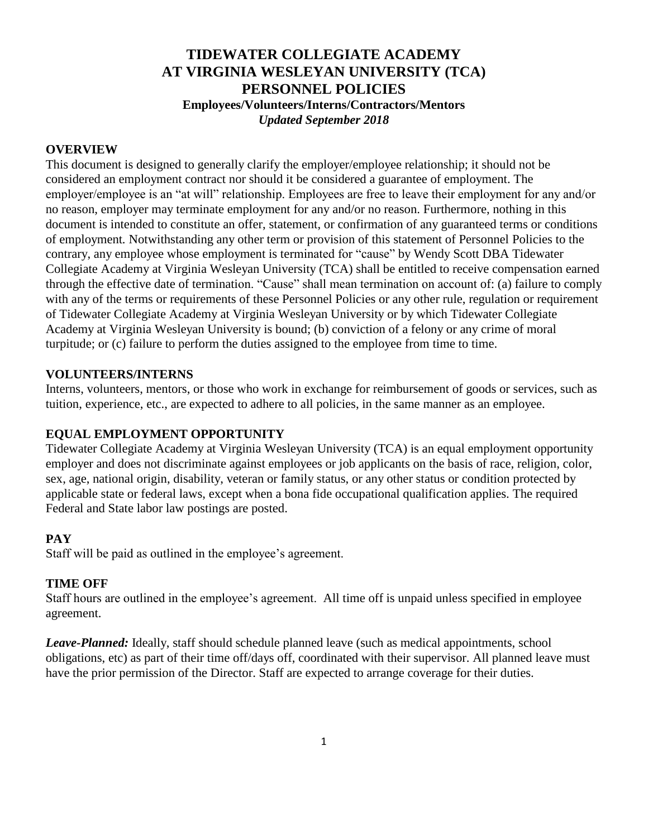# **TIDEWATER COLLEGIATE ACADEMY AT VIRGINIA WESLEYAN UNIVERSITY (TCA) PERSONNEL POLICIES Employees/Volunteers/Interns/Contractors/Mentors** *Updated September 2018*

#### **OVERVIEW**

This document is designed to generally clarify the employer/employee relationship; it should not be considered an employment contract nor should it be considered a guarantee of employment. The employer/employee is an "at will" relationship. Employees are free to leave their employment for any and/or no reason, employer may terminate employment for any and/or no reason. Furthermore, nothing in this document is intended to constitute an offer, statement, or confirmation of any guaranteed terms or conditions of employment*.* Notwithstanding any other term or provision of this statement of Personnel Policies to the contrary, any employee whose employment is terminated for "cause" by Wendy Scott DBA Tidewater Collegiate Academy at Virginia Wesleyan University (TCA) shall be entitled to receive compensation earned through the effective date of termination. "Cause" shall mean termination on account of: (a) failure to comply with any of the terms or requirements of these Personnel Policies or any other rule, regulation or requirement of Tidewater Collegiate Academy at Virginia Wesleyan University or by which Tidewater Collegiate Academy at Virginia Wesleyan University is bound; (b) conviction of a felony or any crime of moral turpitude; or (c) failure to perform the duties assigned to the employee from time to time.

#### **VOLUNTEERS/INTERNS**

Interns, volunteers, mentors, or those who work in exchange for reimbursement of goods or services, such as tuition, experience, etc., are expected to adhere to all policies, in the same manner as an employee.

### **EQUAL EMPLOYMENT OPPORTUNITY**

Tidewater Collegiate Academy at Virginia Wesleyan University (TCA) is an equal employment opportunity employer and does not discriminate against employees or job applicants on the basis of race, religion, color, sex, age, national origin, disability, veteran or family status, or any other status or condition protected by applicable state or federal laws, except when a bona fide occupational qualification applies. The required Federal and State labor law postings are posted.

#### **PAY**

Staff will be paid as outlined in the employee's agreement.

#### **TIME OFF**

Staff hours are outlined in the employee's agreement. All time off is unpaid unless specified in employee agreement.

*Leave-Planned:* Ideally, staff should schedule planned leave (such as medical appointments, school obligations, etc) as part of their time off/days off, coordinated with their supervisor. All planned leave must have the prior permission of the Director. Staff are expected to arrange coverage for their duties.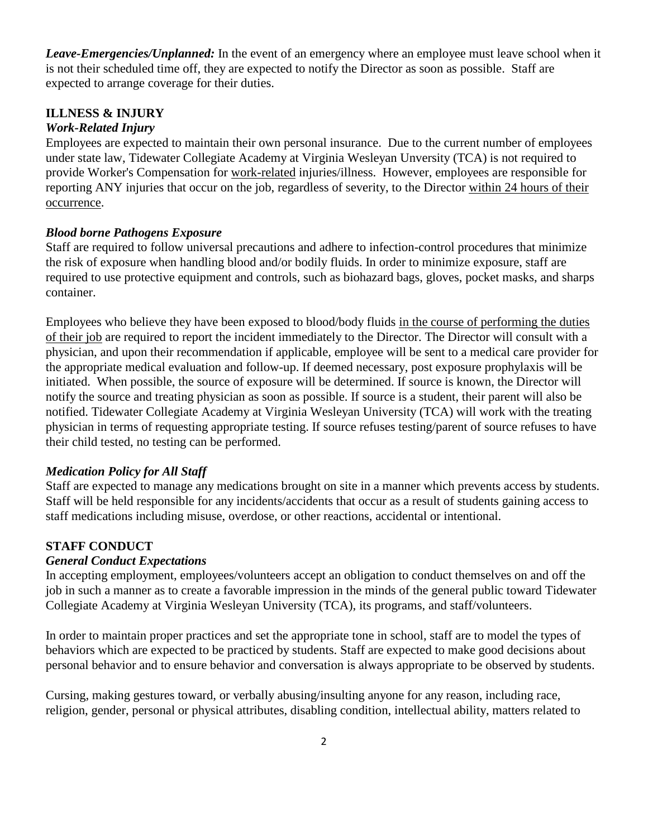*Leave-Emergencies/Unplanned:* In the event of an emergency where an employee must leave school when it is not their scheduled time off, they are expected to notify the Director as soon as possible. Staff are expected to arrange coverage for their duties.

## **ILLNESS & INJURY**

### *Work-Related Injury*

Employees are expected to maintain their own personal insurance. Due to the current number of employees under state law, Tidewater Collegiate Academy at Virginia Wesleyan Unversity (TCA) is not required to provide Worker's Compensation for work-related injuries/illness. However, employees are responsible for reporting ANY injuries that occur on the job, regardless of severity, to the Director within 24 hours of their occurrence.

### *Blood borne Pathogens Exposure*

Staff are required to follow universal precautions and adhere to infection-control procedures that minimize the risk of exposure when handling blood and/or bodily fluids. In order to minimize exposure, staff are required to use protective equipment and controls, such as biohazard bags, gloves, pocket masks, and sharps container.

Employees who believe they have been exposed to blood/body fluids in the course of performing the duties of their job are required to report the incident immediately to the Director. The Director will consult with a physician, and upon their recommendation if applicable, employee will be sent to a medical care provider for the appropriate medical evaluation and follow-up. If deemed necessary, post exposure prophylaxis will be initiated. When possible, the source of exposure will be determined. If source is known, the Director will notify the source and treating physician as soon as possible. If source is a student, their parent will also be notified. Tidewater Collegiate Academy at Virginia Wesleyan University (TCA) will work with the treating physician in terms of requesting appropriate testing. If source refuses testing/parent of source refuses to have their child tested, no testing can be performed.

## *Medication Policy for All Staff*

Staff are expected to manage any medications brought on site in a manner which prevents access by students. Staff will be held responsible for any incidents/accidents that occur as a result of students gaining access to staff medications including misuse, overdose, or other reactions, accidental or intentional.

## **STAFF CONDUCT**

### *General Conduct Expectations*

In accepting employment, employees/volunteers accept an obligation to conduct themselves on and off the job in such a manner as to create a favorable impression in the minds of the general public toward Tidewater Collegiate Academy at Virginia Wesleyan University (TCA), its programs, and staff/volunteers.

In order to maintain proper practices and set the appropriate tone in school, staff are to model the types of behaviors which are expected to be practiced by students. Staff are expected to make good decisions about personal behavior and to ensure behavior and conversation is always appropriate to be observed by students.

Cursing, making gestures toward, or verbally abusing/insulting anyone for any reason, including race, religion, gender, personal or physical attributes, disabling condition, intellectual ability, matters related to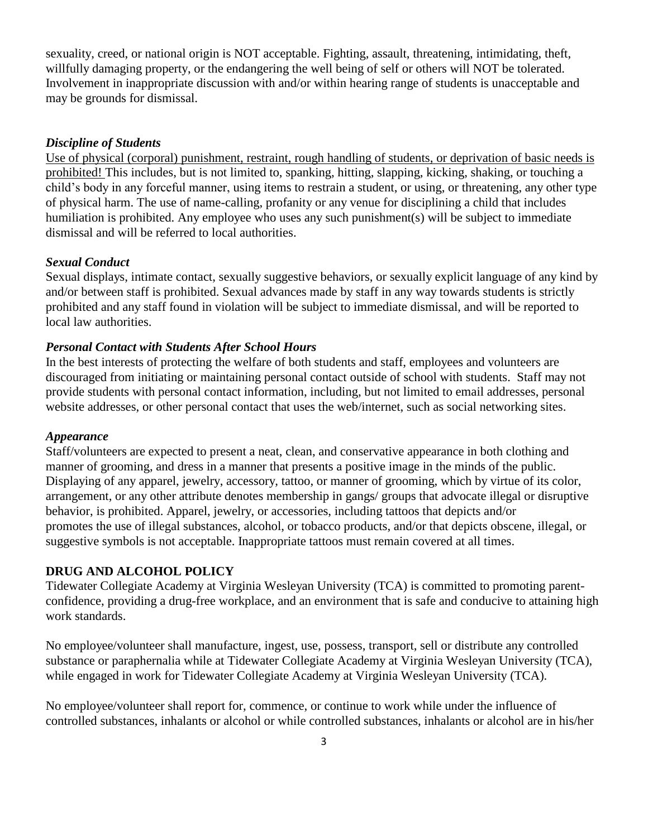sexuality, creed, or national origin is NOT acceptable. Fighting, assault, threatening, intimidating, theft, willfully damaging property, or the endangering the well being of self or others will NOT be tolerated. Involvement in inappropriate discussion with and/or within hearing range of students is unacceptable and may be grounds for dismissal.

#### *Discipline of Students*

Use of physical (corporal) punishment, restraint, rough handling of students, or deprivation of basic needs is prohibited! This includes, but is not limited to, spanking, hitting, slapping, kicking, shaking, or touching a child's body in any forceful manner, using items to restrain a student, or using, or threatening, any other type of physical harm. The use of name-calling, profanity or any venue for disciplining a child that includes humiliation is prohibited. Any employee who uses any such punishment(s) will be subject to immediate dismissal and will be referred to local authorities.

#### *Sexual Conduct*

Sexual displays, intimate contact, sexually suggestive behaviors, or sexually explicit language of any kind by and/or between staff is prohibited. Sexual advances made by staff in any way towards students is strictly prohibited and any staff found in violation will be subject to immediate dismissal, and will be reported to local law authorities.

#### *Personal Contact with Students After School Hours*

In the best interests of protecting the welfare of both students and staff, employees and volunteers are discouraged from initiating or maintaining personal contact outside of school with students. Staff may not provide students with personal contact information, including, but not limited to email addresses, personal website addresses, or other personal contact that uses the web/internet, such as social networking sites.

#### *Appearance*

Staff/volunteers are expected to present a neat, clean, and conservative appearance in both clothing and manner of grooming, and dress in a manner that presents a positive image in the minds of the public. Displaying of any apparel, jewelry, accessory, tattoo, or manner of grooming, which by virtue of its color, arrangement, or any other attribute denotes membership in gangs/ groups that advocate illegal or disruptive behavior, is prohibited. Apparel, jewelry, or accessories, including tattoos that depicts and/or promotes the use of illegal substances, alcohol, or tobacco products, and/or that depicts obscene, illegal, or suggestive symbols is not acceptable. Inappropriate tattoos must remain covered at all times.

### **DRUG AND ALCOHOL POLICY**

Tidewater Collegiate Academy at Virginia Wesleyan University (TCA) is committed to promoting parentconfidence, providing a drug-free workplace, and an environment that is safe and conducive to attaining high work standards.

No employee/volunteer shall manufacture, ingest, use, possess, transport, sell or distribute any controlled substance or paraphernalia while at Tidewater Collegiate Academy at Virginia Wesleyan University (TCA), while engaged in work for Tidewater Collegiate Academy at Virginia Wesleyan University (TCA).

No employee/volunteer shall report for, commence, or continue to work while under the influence of controlled substances, inhalants or alcohol or while controlled substances, inhalants or alcohol are in his/her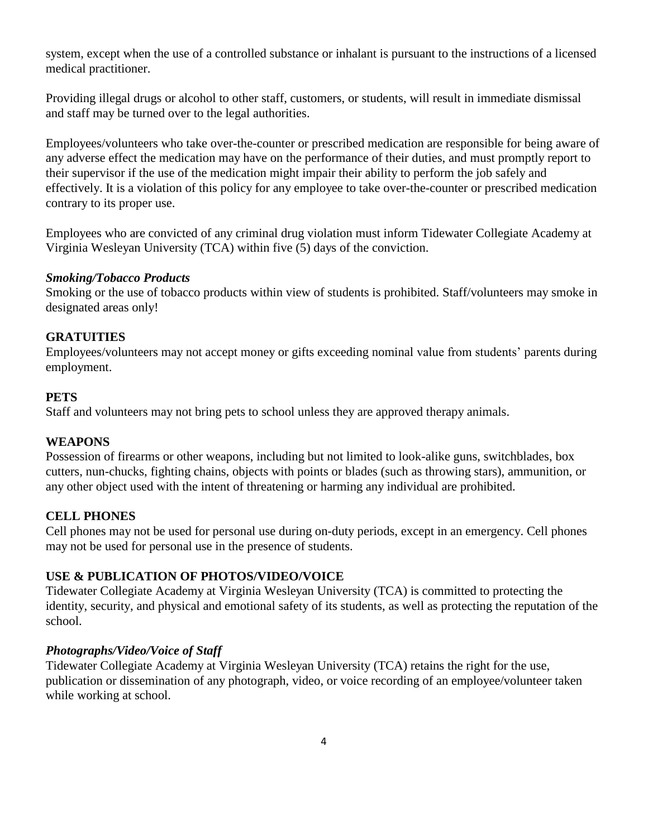system, except when the use of a controlled substance or inhalant is pursuant to the instructions of a licensed medical practitioner.

Providing illegal drugs or alcohol to other staff, customers, or students, will result in immediate dismissal and staff may be turned over to the legal authorities.

Employees/volunteers who take over-the-counter or prescribed medication are responsible for being aware of any adverse effect the medication may have on the performance of their duties, and must promptly report to their supervisor if the use of the medication might impair their ability to perform the job safely and effectively. It is a violation of this policy for any employee to take over-the-counter or prescribed medication contrary to its proper use.

Employees who are convicted of any criminal drug violation must inform Tidewater Collegiate Academy at Virginia Wesleyan University (TCA) within five (5) days of the conviction.

### *Smoking/Tobacco Products*

Smoking or the use of tobacco products within view of students is prohibited. Staff/volunteers may smoke in designated areas only!

### **GRATUITIES**

Employees/volunteers may not accept money or gifts exceeding nominal value from students' parents during employment.

#### **PETS**

Staff and volunteers may not bring pets to school unless they are approved therapy animals.

### **WEAPONS**

Possession of firearms or other weapons, including but not limited to look-alike guns, switchblades, box cutters, nun-chucks, fighting chains, objects with points or blades (such as throwing stars), ammunition, or any other object used with the intent of threatening or harming any individual are prohibited.

### **CELL PHONES**

Cell phones may not be used for personal use during on-duty periods, except in an emergency. Cell phones may not be used for personal use in the presence of students.

### **USE & PUBLICATION OF PHOTOS/VIDEO/VOICE**

Tidewater Collegiate Academy at Virginia Wesleyan University (TCA) is committed to protecting the identity, security, and physical and emotional safety of its students, as well as protecting the reputation of the school.

### *Photographs/Video/Voice of Staff*

Tidewater Collegiate Academy at Virginia Wesleyan University (TCA) retains the right for the use, publication or dissemination of any photograph, video, or voice recording of an employee/volunteer taken while working at school.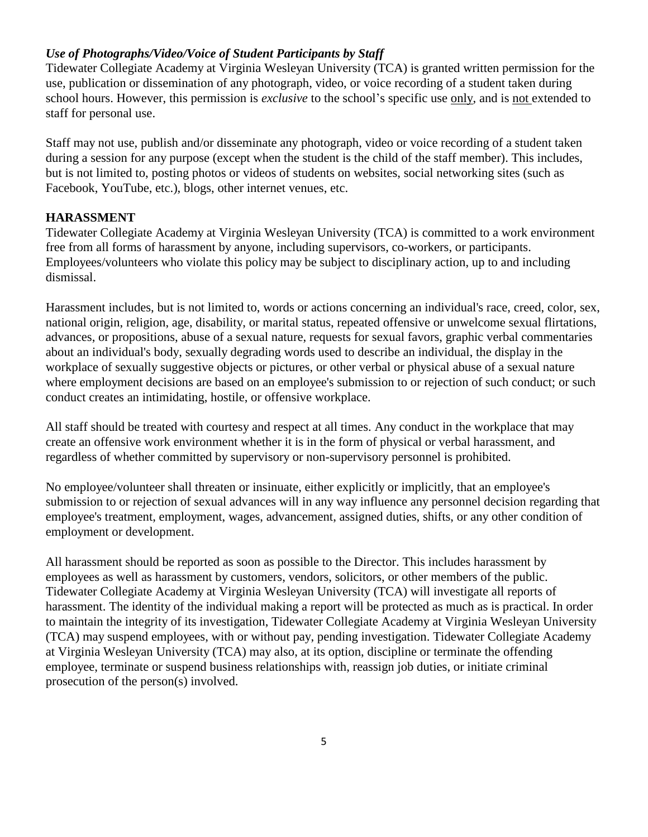### *Use of Photographs/Video/Voice of Student Participants by Staff*

Tidewater Collegiate Academy at Virginia Wesleyan University (TCA) is granted written permission for the use, publication or dissemination of any photograph, video, or voice recording of a student taken during school hours. However, this permission is *exclusive* to the school's specific use only, and is not extended to staff for personal use.

Staff may not use, publish and/or disseminate any photograph, video or voice recording of a student taken during a session for any purpose (except when the student is the child of the staff member). This includes, but is not limited to, posting photos or videos of students on websites, social networking sites (such as Facebook, YouTube, etc.), blogs, other internet venues, etc.

#### **HARASSMENT**

Tidewater Collegiate Academy at Virginia Wesleyan University (TCA) is committed to a work environment free from all forms of harassment by anyone, including supervisors, co-workers, or participants. Employees/volunteers who violate this policy may be subject to disciplinary action, up to and including dismissal.

Harassment includes, but is not limited to, words or actions concerning an individual's race, creed, color, sex, national origin, religion, age, disability, or marital status, repeated offensive or unwelcome sexual flirtations, advances, or propositions, abuse of a sexual nature, requests for sexual favors, graphic verbal commentaries about an individual's body, sexually degrading words used to describe an individual, the display in the workplace of sexually suggestive objects or pictures, or other verbal or physical abuse of a sexual nature where employment decisions are based on an employee's submission to or rejection of such conduct; or such conduct creates an intimidating, hostile, or offensive workplace.

All staff should be treated with courtesy and respect at all times. Any conduct in the workplace that may create an offensive work environment whether it is in the form of physical or verbal harassment, and regardless of whether committed by supervisory or non-supervisory personnel is prohibited.

No employee/volunteer shall threaten or insinuate, either explicitly or implicitly, that an employee's submission to or rejection of sexual advances will in any way influence any personnel decision regarding that employee's treatment, employment, wages, advancement, assigned duties, shifts, or any other condition of employment or development.

All harassment should be reported as soon as possible to the Director. This includes harassment by employees as well as harassment by customers, vendors, solicitors, or other members of the public. Tidewater Collegiate Academy at Virginia Wesleyan University (TCA) will investigate all reports of harassment. The identity of the individual making a report will be protected as much as is practical. In order to maintain the integrity of its investigation, Tidewater Collegiate Academy at Virginia Wesleyan University (TCA) may suspend employees, with or without pay, pending investigation. Tidewater Collegiate Academy at Virginia Wesleyan University (TCA) may also, at its option, discipline or terminate the offending employee, terminate or suspend business relationships with, reassign job duties, or initiate criminal prosecution of the person(s) involved.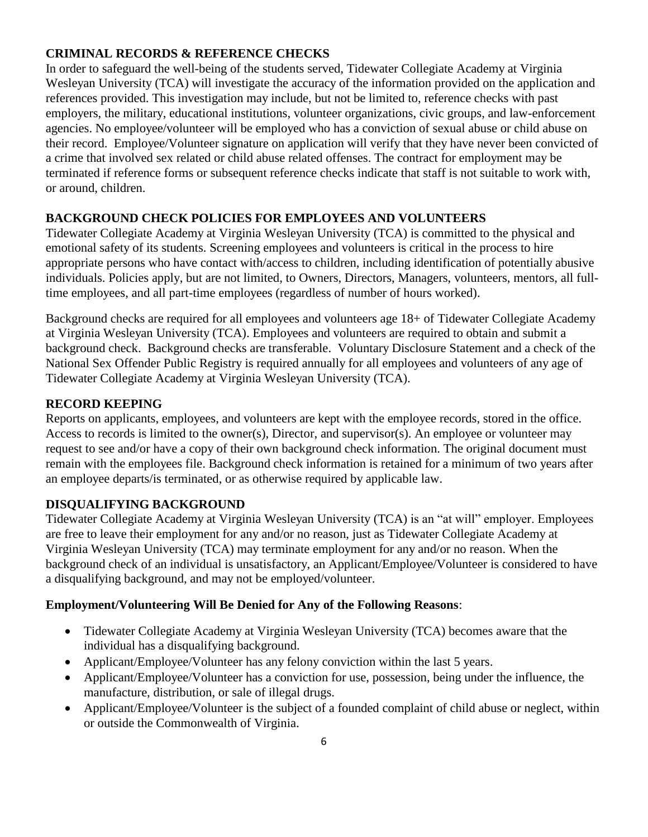## **CRIMINAL RECORDS & REFERENCE CHECKS**

In order to safeguard the well-being of the students served, Tidewater Collegiate Academy at Virginia Wesleyan University (TCA) will investigate the accuracy of the information provided on the application and references provided. This investigation may include, but not be limited to, reference checks with past employers, the military, educational institutions, volunteer organizations, civic groups, and law-enforcement agencies. No employee/volunteer will be employed who has a conviction of sexual abuse or child abuse on their record. Employee/Volunteer signature on application will verify that they have never been convicted of a crime that involved sex related or child abuse related offenses. The contract for employment may be terminated if reference forms or subsequent reference checks indicate that staff is not suitable to work with, or around, children.

# **BACKGROUND CHECK POLICIES FOR EMPLOYEES AND VOLUNTEERS**

Tidewater Collegiate Academy at Virginia Wesleyan University (TCA) is committed to the physical and emotional safety of its students. Screening employees and volunteers is critical in the process to hire appropriate persons who have contact with/access to children, including identification of potentially abusive individuals. Policies apply, but are not limited, to Owners, Directors, Managers, volunteers, mentors, all fulltime employees, and all part-time employees (regardless of number of hours worked).

Background checks are required for all employees and volunteers age 18+ of Tidewater Collegiate Academy at Virginia Wesleyan University (TCA). Employees and volunteers are required to obtain and submit a background check. Background checks are transferable. Voluntary Disclosure Statement and a check of the National Sex Offender Public Registry is required annually for all employees and volunteers of any age of Tidewater Collegiate Academy at Virginia Wesleyan University (TCA).

## **RECORD KEEPING**

Reports on applicants, employees, and volunteers are kept with the employee records, stored in the office. Access to records is limited to the owner(s), Director, and supervisor(s). An employee or volunteer may request to see and/or have a copy of their own background check information. The original document must remain with the employees file. Background check information is retained for a minimum of two years after an employee departs/is terminated, or as otherwise required by applicable law.

## **DISQUALIFYING BACKGROUND**

Tidewater Collegiate Academy at Virginia Wesleyan University (TCA) is an "at will" employer. Employees are free to leave their employment for any and/or no reason, just as Tidewater Collegiate Academy at Virginia Wesleyan University (TCA) may terminate employment for any and/or no reason. When the background check of an individual is unsatisfactory, an Applicant/Employee/Volunteer is considered to have a disqualifying background, and may not be employed/volunteer.

## **Employment/Volunteering Will Be Denied for Any of the Following Reasons**:

- Tidewater Collegiate Academy at Virginia Wesleyan University (TCA) becomes aware that the individual has a disqualifying background.
- Applicant/Employee/Volunteer has any felony conviction within the last 5 years.
- Applicant/Employee/Volunteer has a conviction for use, possession, being under the influence, the manufacture, distribution, or sale of illegal drugs.
- Applicant/Employee/Volunteer is the subject of a founded complaint of child abuse or neglect, within or outside the Commonwealth of Virginia.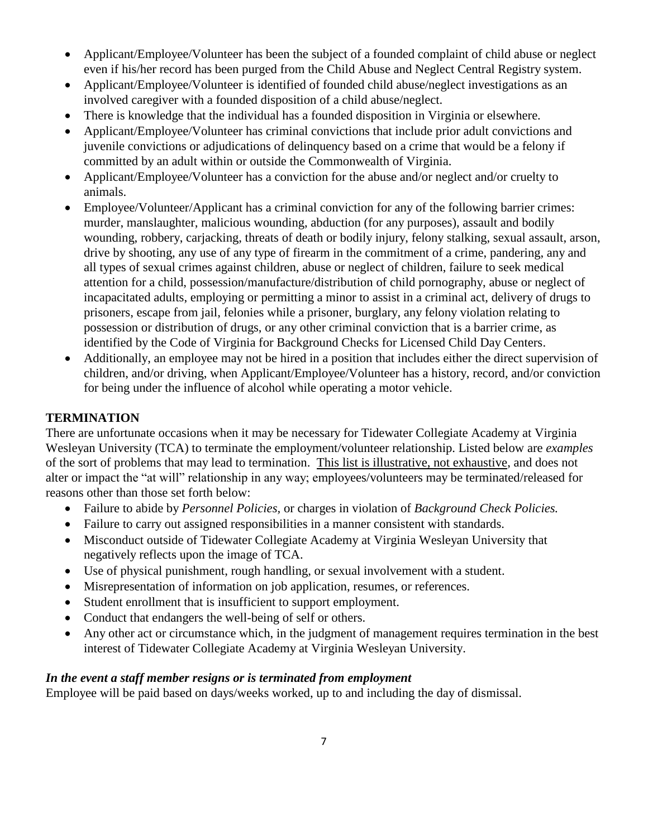- Applicant/Employee/Volunteer has been the subject of a founded complaint of child abuse or neglect even if his/her record has been purged from the Child Abuse and Neglect Central Registry system.
- Applicant/Employee/Volunteer is identified of founded child abuse/neglect investigations as an involved caregiver with a founded disposition of a child abuse/neglect.
- There is knowledge that the individual has a founded disposition in Virginia or elsewhere.
- Applicant/Employee/Volunteer has criminal convictions that include prior adult convictions and juvenile convictions or adjudications of delinquency based on a crime that would be a felony if committed by an adult within or outside the Commonwealth of Virginia.
- Applicant/Employee/Volunteer has a conviction for the abuse and/or neglect and/or cruelty to animals.
- Employee/Volunteer/Applicant has a criminal conviction for any of the following barrier crimes: murder, manslaughter, malicious wounding, abduction (for any purposes), assault and bodily wounding, robbery, carjacking, threats of death or bodily injury, felony stalking, sexual assault, arson, drive by shooting, any use of any type of firearm in the commitment of a crime, pandering, any and all types of sexual crimes against children, abuse or neglect of children, failure to seek medical attention for a child, possession/manufacture/distribution of child pornography, abuse or neglect of incapacitated adults, employing or permitting a minor to assist in a criminal act, delivery of drugs to prisoners, escape from jail, felonies while a prisoner, burglary, any felony violation relating to possession or distribution of drugs, or any other criminal conviction that is a barrier crime, as identified by the Code of Virginia for Background Checks for Licensed Child Day Centers.
- Additionally, an employee may not be hired in a position that includes either the direct supervision of children, and/or driving, when Applicant/Employee/Volunteer has a history, record, and/or conviction for being under the influence of alcohol while operating a motor vehicle.

## **TERMINATION**

There are unfortunate occasions when it may be necessary for Tidewater Collegiate Academy at Virginia Wesleyan University (TCA) to terminate the employment/volunteer relationship. Listed below are *examples*  of the sort of problems that may lead to termination. This list is illustrative, not exhaustive, and does not alter or impact the "at will" relationship in any way; employees/volunteers may be terminated/released for reasons other than those set forth below:

- Failure to abide by *Personnel Policies,* or charges in violation of *Background Check Policies.*
- Failure to carry out assigned responsibilities in a manner consistent with standards.
- Misconduct outside of Tidewater Collegiate Academy at Virginia Wesleyan University that negatively reflects upon the image of TCA.
- Use of physical punishment, rough handling, or sexual involvement with a student.
- Misrepresentation of information on job application, resumes, or references.
- Student enrollment that is insufficient to support employment.
- Conduct that endangers the well-being of self or others.
- Any other act or circumstance which, in the judgment of management requires termination in the best interest of Tidewater Collegiate Academy at Virginia Wesleyan University.

## *In the event a staff member resigns or is terminated from employment*

Employee will be paid based on days/weeks worked, up to and including the day of dismissal.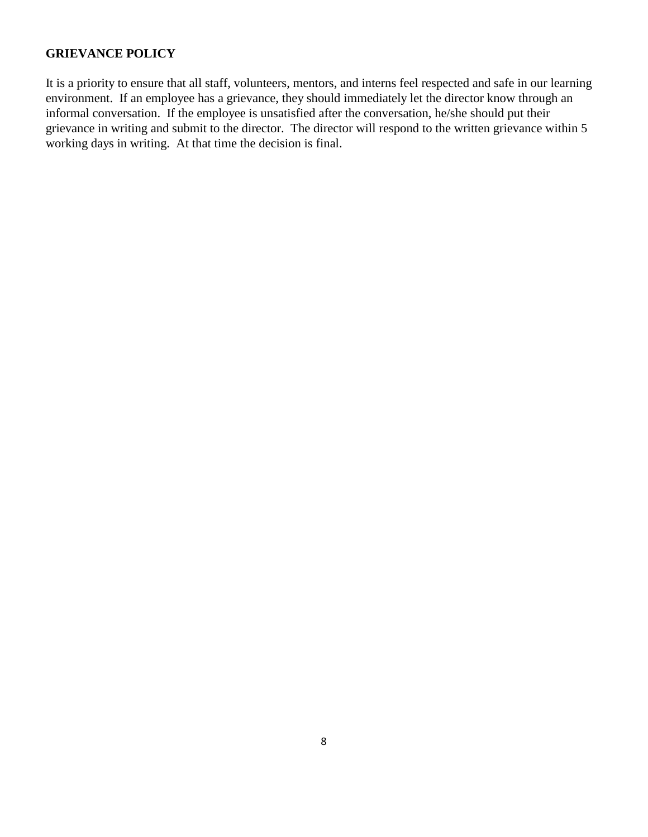#### **GRIEVANCE POLICY**

It is a priority to ensure that all staff, volunteers, mentors, and interns feel respected and safe in our learning environment. If an employee has a grievance, they should immediately let the director know through an informal conversation. If the employee is unsatisfied after the conversation, he/she should put their grievance in writing and submit to the director. The director will respond to the written grievance within 5 working days in writing. At that time the decision is final.